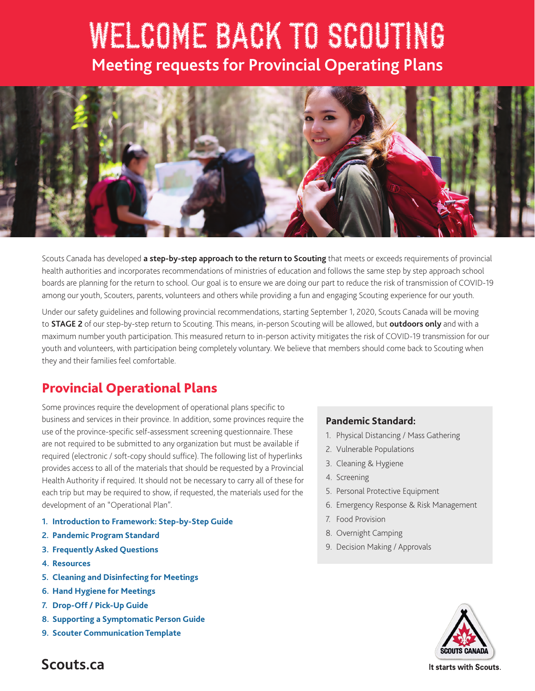# WELCOME BACK TO SCOUTING **Meeting requests for Provincial Operating Plans**



Scouts Canada has developed **a step-by-step approach to the return to Scouting** that meets or exceeds requirements of provincial health authorities and incorporates recommendations of ministries of education and follows the same step by step approach school boards are planning for the return to school. Our goal is to ensure we are doing our part to reduce the risk of transmission of COVID-19 among our youth, Scouters, parents, volunteers and others while providing a fun and engaging Scouting experience for our youth.

Under our safety guidelines and following provincial recommendations, starting September 1, 2020, Scouts Canada will be moving to **STAGE 2** of our step-by-step return to Scouting. This means, in-person Scouting will be allowed, but **outdoors only** and with a maximum number youth participation. This measured return to in-person activity mitigates the risk of COVID-19 transmission for our youth and volunteers, with participation being completely voluntary. We believe that members should come back to Scouting when they and their families feel comfortable.

### Provincial Operational Plans

Some provinces require the development of operational plans specific to business and services in their province. In addition, some provinces require the use of the province-specific self-assessment screening questionnaire. These are not required to be submitted to any organization but must be available if required (electronic / soft-copy should suffice). The following list of hyperlinks provides access to all of the materials that should be requested by a Provincial Health Authority if required. It should not be necessary to carry all of these for each trip but may be required to show, if requested, the materials used for the development of an "Operational Plan".

- **1. [Introduction to Framework: Step-by-Step Guide](https://scoutsca.s3.amazonaws.com/2020/07/step-by-step-return-to-scouting.pdf)**
- **2. [Pandemic Program Standard](https://www.scouts.ca/resources/bpp/policies/pandemic-program-modification-standards.html)**
- **3. [Frequently Asked Questions](https://www.scouts.ca/news-and-events/covid-19/covid-19-faq.html)**
- **4. [Resources](https://www.scouts.ca/news-and-events/covid-19/welcome-back-resources.html)**
- **5. [Cleaning and Disinfecting for Meetings](https://www.scouts.ca/f/12nz4)**
- **6. [Hand Hygiene for Meetings](https://www.scouts.ca/f/12mfk)**
- **7. [Drop-Off / Pick-Up Guide](https://www.scouts.ca/f/12kw0)**
- **8. [Supporting a Symptomatic Person Guide](https://www.scouts.ca/f/12lns)**
- **9. [Scouter Communication Template](https://www.scouts.ca/f/12pio)**

#### **Pandemic Standard:**

- 1. Physical Distancing / Mass Gathering
- 2. Vulnerable Populations
- 3. Cleaning & Hygiene
- 4. Screening
- 5. Personal Protective Equipment
- 6. Emergency Response & Risk Management
- 7. Food Provision
- 8. Overnight Camping
- 9. Decision Making / Approvals



**Scouts.ca**

It starts with Scouts.